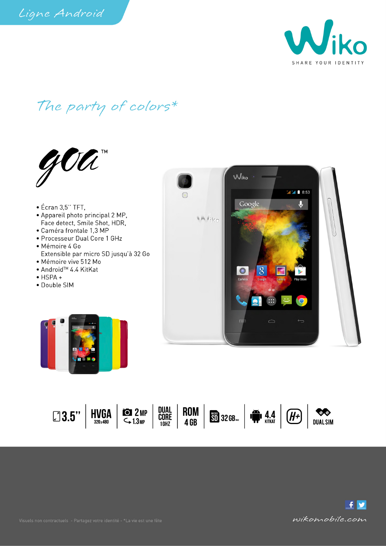

The party of colors\*



## $\bullet$  Écran 3,5" TFT, • Appareil photo principal 2 MP, Face detect, Smile Shot, HDR,

- · Caméra frontale 1,3 MP
- Processeur Dual Core 1 GHz · Mémoire 4 Go
- Extensible par micro SD jusqu'à 32 Go · Mémoire vive 512 Mo
- Android<sup>™</sup> 4.4 KitKat
- $\bullet$  HSPA  $\bullet$
- Double SIM